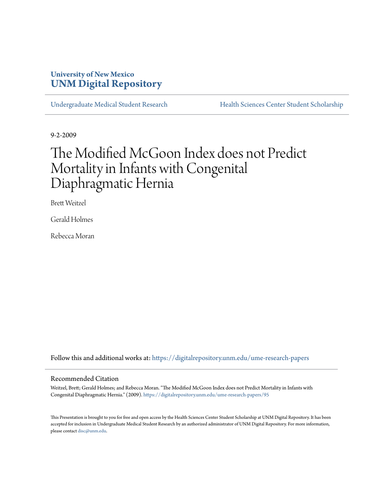# **University of New Mexico [UNM Digital Repository](https://digitalrepository.unm.edu?utm_source=digitalrepository.unm.edu%2Fume-research-papers%2F95&utm_medium=PDF&utm_campaign=PDFCoverPages)**

[Undergraduate Medical Student Research](https://digitalrepository.unm.edu/ume-research-papers?utm_source=digitalrepository.unm.edu%2Fume-research-papers%2F95&utm_medium=PDF&utm_campaign=PDFCoverPages) [Health Sciences Center Student Scholarship](https://digitalrepository.unm.edu/hsc-students?utm_source=digitalrepository.unm.edu%2Fume-research-papers%2F95&utm_medium=PDF&utm_campaign=PDFCoverPages)

9-2-2009

# The Modified McGoon Index does not Predict Mortality in Infants with Congenital Diaphragmatic Hernia

Brett Weitzel

Gerald Holmes

Rebecca Moran

Follow this and additional works at: [https://digitalrepository.unm.edu/ume-research-papers](https://digitalrepository.unm.edu/ume-research-papers?utm_source=digitalrepository.unm.edu%2Fume-research-papers%2F95&utm_medium=PDF&utm_campaign=PDFCoverPages)

#### Recommended Citation

Weitzel, Brett; Gerald Holmes; and Rebecca Moran. "The Modified McGoon Index does not Predict Mortality in Infants with Congenital Diaphragmatic Hernia." (2009). [https://digitalrepository.unm.edu/ume-research-papers/95](https://digitalrepository.unm.edu/ume-research-papers/95?utm_source=digitalrepository.unm.edu%2Fume-research-papers%2F95&utm_medium=PDF&utm_campaign=PDFCoverPages)

This Presentation is brought to you for free and open access by the Health Sciences Center Student Scholarship at UNM Digital Repository. It has been accepted for inclusion in Undergraduate Medical Student Research by an authorized administrator of UNM Digital Repository. For more information, please contact [disc@unm.edu.](mailto:disc@unm.edu)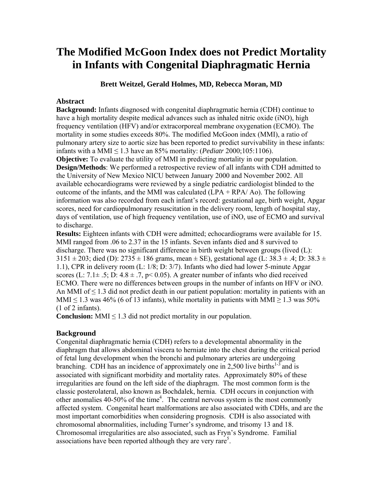# **The Modified McGoon Index does not Predict Mortality in Infants with Congenital Diaphragmatic Hernia**

**Brett Weitzel, Gerald Holmes, MD, Rebecca Moran, MD** 

# **Abstract**

**Background:** Infants diagnosed with congenital diaphragmatic hernia (CDH) continue to have a high mortality despite medical advances such as inhaled nitric oxide (iNO), high frequency ventilation (HFV) and/or extracorporeal membrane oxygenation (ECMO). The mortality in some studies exceeds 80%. The modified McGoon index (MMI), a ratio of pulmonary artery size to aortic size has been reported to predict survivability in these infants: infants with a MMI  $\leq$  1.3 have an 85% mortality: (*Pediatr* 2000;105:1106).

**Objective:** To evaluate the utility of MMI in predicting mortality in our population. **Design/Methods**: We performed a retrospective review of all infants with CDH admitted to the University of New Mexico NICU between January 2000 and November 2002. All available echocardiograms were reviewed by a single pediatric cardiologist blinded to the outcome of the infants, and the MMI was calculated  $(LPA + RPA/Ao)$ . The following information was also recorded from each infant's record: gestational age, birth weight, Apgar scores, need for cardiopulmonary resuscitation in the delivery room, length of hospital stay, days of ventilation, use of high frequency ventilation, use of iNO, use of ECMO and survival to discharge.

**Results:** Eighteen infants with CDH were admitted; echocardiograms were available for 15. MMI ranged from .06 to 2.37 in the 15 infants. Seven infants died and 8 survived to discharge. There was no significant difference in birth weight between groups (lived (L):  $3151 \pm 203$ ; died (D):  $2735 \pm 186$  grams, mean  $\pm$  SE), gestational age (L:  $38.3 \pm .4$ ; D:  $38.3 \pm .4$ 1.1), CPR in delivery room (L: 1/8; D: 3/7). Infants who died had lower 5-minute Apgar scores (L:  $7.1\pm .5$ ; D:  $4.8\pm .7$ , p< 0.05). A greater number of infants who died received ECMO. There were no differences between groups in the number of infants on HFV or iNO. An MMI of  $\leq 1.3$  did not predict death in our patient population: mortality in patients with an MMI < 1.3 was 46% (6 of 13 infants), while mortality in patients with MMI  $> 1.3$  was 50% (1 of 2 infants).

**Conclusion:** MMI  $\leq$  1.3 did not predict mortality in our population.

# **Background**

Congenital diaphragmatic hernia (CDH) refers to a developmental abnormality in the diaphragm that allows abdominal viscera to herniate into the chest during the critical period of fetal lung development when the bronchi and pulmonary arteries are undergoing branching. CDH has an incidence of approximately one in 2,500 live births<sup>1-3</sup> and is associated with significant morbidity and mortality rates. Approximately 80% of these irregularities are found on the left side of the diaphragm. The most common form is the classic posterolateral, also known as Bochdalek, hernia. CDH occurs in conjunction with other anomalies 40-50% of the time<sup>4</sup>. The central nervous system is the most commonly affected system. Congenital heart malformations are also associated with CDHs, and are the most important comorbidities when considering prognosis. CDH is also associated with chromosomal abnormalities, including Turner's syndrome, and trisomy 13 and 18. Chromosomal irregularities are also associated, such as Fryn's Syndrome. Familial associations have been reported although they are very rare<sup>5</sup>.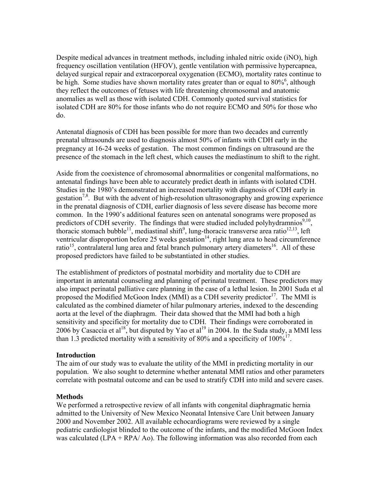Despite medical advances in treatment methods, including inhaled nitric oxide (iNO), high frequency oscillation ventilation (HFOV), gentle ventilation with permissive hypercapnea, delayed surgical repair and extracorporeal oxygenation (ECMO), mortality rates continue to be high. Some studies have shown mortality rates greater than or equal to 80%<sup>6</sup>, although they reflect the outcomes of fetuses with life threatening chromosomal and anatomic anomalies as well as those with isolated CDH. Commonly quoted survival statistics for isolated CDH are 80% for those infants who do not require ECMO and 50% for those who do.

Antenatal diagnosis of CDH has been possible for more than two decades and currently prenatal ultrasounds are used to diagnosis almost 50% of infants with CDH early in the pregnancy at 16-24 weeks of gestation. The most common findings on ultrasound are the presence of the stomach in the left chest, which causes the mediastinum to shift to the right.

Aside from the coexistence of chromosomal abnormalities or congenital malformations, no antenatal findings have been able to accurately predict death in infants with isolated CDH. Studies in the 1980's demonstrated an increased mortality with diagnosis of CDH early in gestation<sup>7,8</sup>. But with the advent of high-resolution ultrasonography and growing experience in the prenatal diagnosis of CDH, earlier diagnosis of less severe disease has become more common. In the 1990's additional features seen on antenatal sonograms were proposed as predictors of CDH severity. The findings that were studied included polyhydramnios<sup>9,10</sup>, thoracic stomach bubble<sup>11</sup>, mediastinal shift<sup>9</sup>, lung-thoracic transverse area ratio<sup>12,13</sup>, left ventricular disproportion before 25 weeks gestation<sup>14</sup>, right lung area to head circumference ratio<sup>15</sup>, contralateral lung area and fetal branch pulmonary artery diameters<sup>16</sup>. All of these proposed predictors have failed to be substantiated in other studies.

The establishment of predictors of postnatal morbidity and mortality due to CDH are important in antenatal counseling and planning of perinatal treatment. These predictors may also impact perinatal palliative care planning in the case of a lethal lesion. In 2001 Suda et al proposed the Modified McGoon Index (MMI) as a CDH severity predictor<sup>17</sup>. The MMI is calculated as the combined diameter of hilar pulmonary arteries, indexed to the descending aorta at the level of the diaphragm. Their data showed that the MMI had both a high sensitivity and specificity for mortality due to CDH. Their findings were corroborated in 2006 by Casaccia et al<sup>18</sup>, but disputed by Yao et al<sup>19</sup> in 2004. In the Suda study, a MMI less than 1.3 predicted mortality with a sensitivity of 80% and a specificity of  $100\%^{17}$ .

#### **Introduction**

The aim of our study was to evaluate the utility of the MMI in predicting mortality in our population. We also sought to determine whether antenatal MMI ratios and other parameters correlate with postnatal outcome and can be used to stratify CDH into mild and severe cases.

#### **Methods**

We performed a retrospective review of all infants with congenital diaphragmatic hernia admitted to the University of New Mexico Neonatal Intensive Care Unit between January 2000 and November 2002. All available echocardiograms were reviewed by a single pediatric cardiologist blinded to the outcome of the infants, and the modified McGoon Index was calculated  $(LPA + RPA/AO)$ . The following information was also recorded from each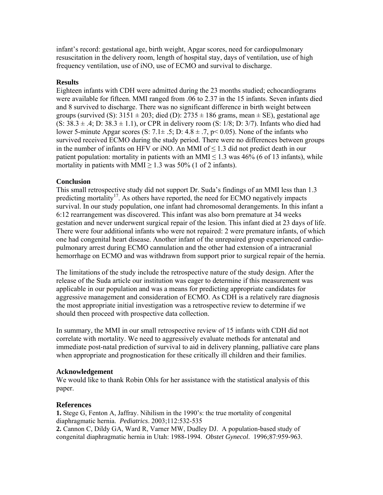infant's record: gestational age, birth weight, Apgar scores, need for cardiopulmonary resuscitation in the delivery room, length of hospital stay, days of ventilation, use of high frequency ventilation, use of iNO, use of ECMO and survival to discharge.

# **Results**

Eighteen infants with CDH were admitted during the 23 months studied; echocardiograms were available for fifteen. MMI ranged from .06 to 2.37 in the 15 infants. Seven infants died and 8 survived to discharge. There was no significant difference in birth weight between groups (survived (S):  $3151 \pm 203$ ; died (D):  $2735 \pm 186$  grams, mean  $\pm$  SE), gestational age  $(S: 38.3 \pm .4; D: 38.3 \pm 1.1)$ , or CPR in delivery room  $(S: 1/8; D: 3/7)$ . Infants who died had lower 5-minute Apgar scores (S:  $7.1 \pm .5$ ; D:  $4.8 \pm .7$ , p< 0.05). None of the infants who survived received ECMO during the study period. There were no differences between groups in the number of infants on HFV or iNO. An MMI of  $\leq 1.3$  did not predict death in our patient population: mortality in patients with an MMI  $\leq$  1.3 was 46% (6 of 13 infants), while mortality in patients with MMI  $\geq$  1.3 was 50% (1 of 2 infants).

# **Conclusion**

This small retrospective study did not support Dr. Suda's findings of an MMI less than 1.3 predicting mortality<sup>17</sup>. As others have reported, the need for ECMO negatively impacts survival. In our study population, one infant had chromosomal derangements. In this infant a 6:12 rearrangement was discovered. This infant was also born premature at 34 weeks gestation and never underwent surgical repair of the lesion. This infant died at 23 days of life. There were four additional infants who were not repaired: 2 were premature infants, of which one had congenital heart disease. Another infant of the unrepaired group experienced cardiopulmonary arrest during ECMO cannulation and the other had extension of a intracranial hemorrhage on ECMO and was withdrawn from support prior to surgical repair of the hernia.

The limitations of the study include the retrospective nature of the study design. After the release of the Suda article our institution was eager to determine if this measurement was applicable in our population and was a means for predicting appropriate candidates for aggressive management and consideration of ECMO. As CDH is a relatively rare diagnosis the most appropriate initial investigation was a retrospective review to determine if we should then proceed with prospective data collection.

In summary, the MMI in our small retrospective review of 15 infants with CDH did not correlate with mortality. We need to aggressively evaluate methods for antenatal and immediate post-natal prediction of survival to aid in delivery planning, palliative care plans when appropriate and prognostication for these critically ill children and their families.

## **Acknowledgement**

We would like to thank Robin Ohls for her assistance with the statistical analysis of this paper.

## **References**

**1.** Stege G, Fenton A, Jaffray. Nihilism in the 1990's: the true mortality of congenital diaphragmatic hernia. *Pediatrics*. 2003;112:532-535

**2.** Cannon C, Dildy GA, Ward R, Varner MW, Dudley DJ. A population-based study of congenital diaphragmatic hernia in Utah: 1988-1994. *Obstet Gynecol*. 1996;87:959-963.